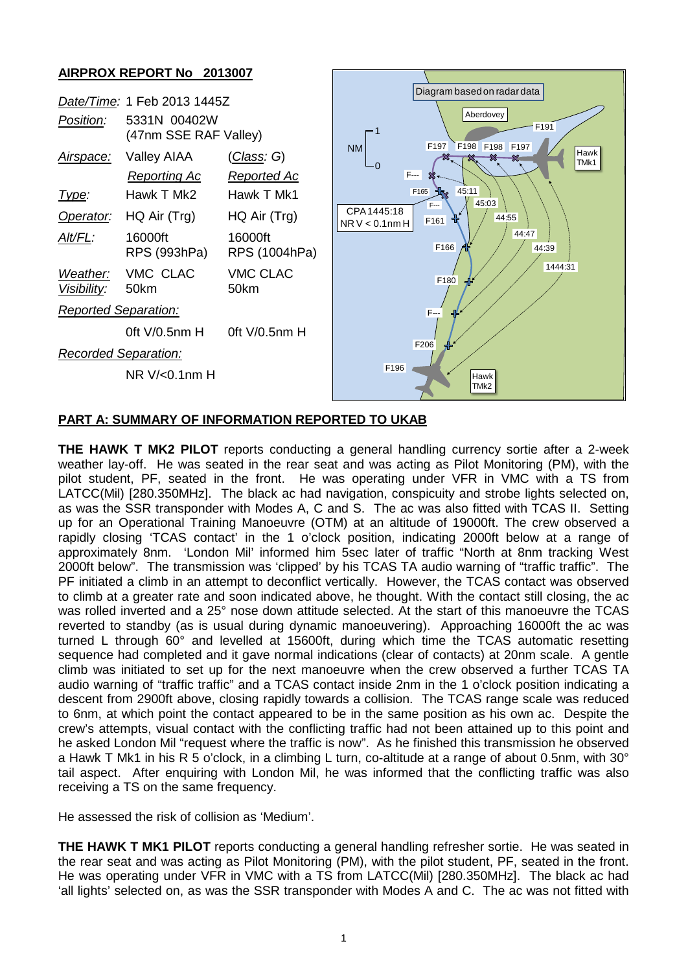# **AIRPROX REPORT No 2013007**



#### **PART A: SUMMARY OF INFORMATION REPORTED TO UKAB**

**THE HAWK T MK2 PILOT** reports conducting a general handling currency sortie after a 2-week weather lay-off. He was seated in the rear seat and was acting as Pilot Monitoring (PM), with the pilot student, PF, seated in the front. He was operating under VFR in VMC with a TS from LATCC(Mil) [280.350MHz]. The black ac had navigation, conspicuity and strobe lights selected on, as was the SSR transponder with Modes A, C and S. The ac was also fitted with TCAS II. Setting up for an Operational Training Manoeuvre (OTM) at an altitude of 19000ft. The crew observed a rapidly closing 'TCAS contact' in the 1 o'clock position, indicating 2000ft below at a range of approximately 8nm. 'London Mil' informed him 5sec later of traffic "North at 8nm tracking West 2000ft below". The transmission was 'clipped' by his TCAS TA audio warning of "traffic traffic". The PF initiated a climb in an attempt to deconflict vertically. However, the TCAS contact was observed to climb at a greater rate and soon indicated above, he thought. With the contact still closing, the ac was rolled inverted and a 25° nose down attitude selected. At the start of this manoeuvre the TCAS reverted to standby (as is usual during dynamic manoeuvering). Approaching 16000ft the ac was turned L through 60° and levelled at 15600ft, during which time the TCAS automatic resetting sequence had completed and it gave normal indications (clear of contacts) at 20nm scale. A gentle climb was initiated to set up for the next manoeuvre when the crew observed a further TCAS TA audio warning of "traffic traffic" and a TCAS contact inside 2nm in the 1 o'clock position indicating a descent from 2900ft above, closing rapidly towards a collision. The TCAS range scale was reduced to 6nm, at which point the contact appeared to be in the same position as his own ac. Despite the crew's attempts, visual contact with the conflicting traffic had not been attained up to this point and he asked London Mil "request where the traffic is now". As he finished this transmission he observed a Hawk T Mk1 in his R 5 o'clock, in a climbing L turn, co-altitude at a range of about 0.5nm, with 30° tail aspect. After enquiring with London Mil, he was informed that the conflicting traffic was also receiving a TS on the same frequency.

He assessed the risk of collision as 'Medium'.

**THE HAWK T MK1 PILOT** reports conducting a general handling refresher sortie. He was seated in the rear seat and was acting as Pilot Monitoring (PM), with the pilot student, PF, seated in the front. He was operating under VFR in VMC with a TS from LATCC(Mil) [280.350MHz]. The black ac had 'all lights' selected on, as was the SSR transponder with Modes A and C. The ac was not fitted with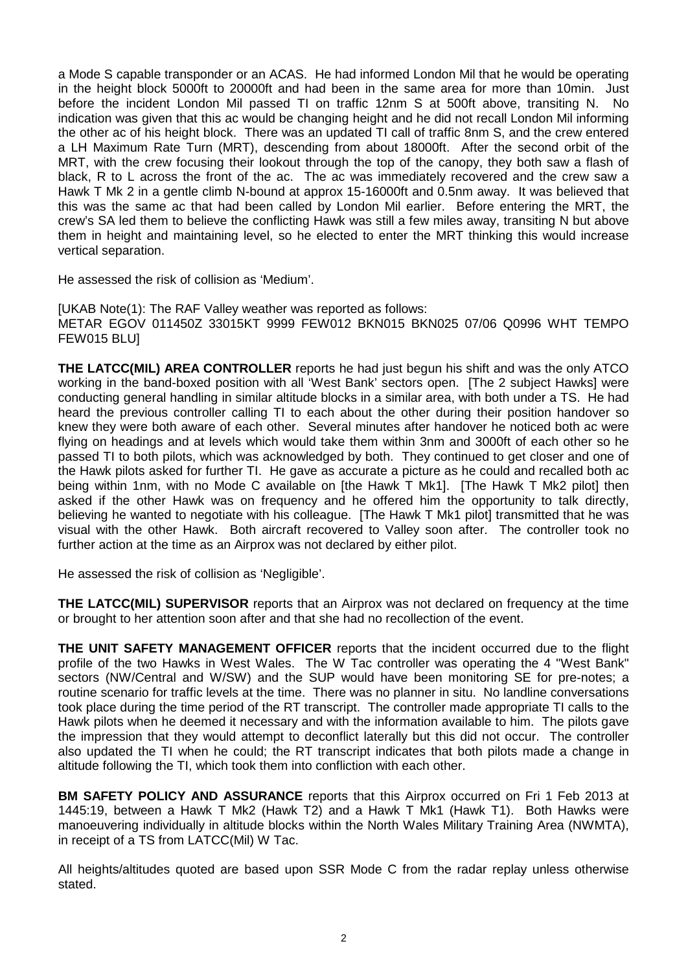a Mode S capable transponder or an ACAS. He had informed London Mil that he would be operating in the height block 5000ft to 20000ft and had been in the same area for more than 10min. Just before the incident London Mil passed TI on traffic 12nm S at 500ft above, transiting N. No indication was given that this ac would be changing height and he did not recall London Mil informing the other ac of his height block. There was an updated TI call of traffic 8nm S, and the crew entered a LH Maximum Rate Turn (MRT), descending from about 18000ft. After the second orbit of the MRT, with the crew focusing their lookout through the top of the canopy, they both saw a flash of black, R to L across the front of the ac. The ac was immediately recovered and the crew saw a Hawk T Mk 2 in a gentle climb N-bound at approx 15-16000ft and 0.5nm away. It was believed that this was the same ac that had been called by London Mil earlier. Before entering the MRT, the crew's SA led them to believe the conflicting Hawk was still a few miles away, transiting N but above them in height and maintaining level, so he elected to enter the MRT thinking this would increase vertical separation.

He assessed the risk of collision as 'Medium'.

[UKAB Note(1): The RAF Valley weather was reported as follows: METAR EGOV 011450Z 33015KT 9999 FEW012 BKN015 BKN025 07/06 Q0996 WHT TEMPO FEW015 BLU]

**THE LATCC(MIL) AREA CONTROLLER** reports he had just begun his shift and was the only ATCO working in the band-boxed position with all 'West Bank' sectors open. [The 2 subject Hawks] were conducting general handling in similar altitude blocks in a similar area, with both under a TS. He had heard the previous controller calling TI to each about the other during their position handover so knew they were both aware of each other. Several minutes after handover he noticed both ac were flying on headings and at levels which would take them within 3nm and 3000ft of each other so he passed TI to both pilots, which was acknowledged by both. They continued to get closer and one of the Hawk pilots asked for further TI. He gave as accurate a picture as he could and recalled both ac being within 1nm, with no Mode C available on [the Hawk T Mk1]. [The Hawk T Mk2 pilot] then asked if the other Hawk was on frequency and he offered him the opportunity to talk directly, believing he wanted to negotiate with his colleague. [The Hawk T Mk1 pilot] transmitted that he was visual with the other Hawk. Both aircraft recovered to Valley soon after. The controller took no further action at the time as an Airprox was not declared by either pilot.

He assessed the risk of collision as 'Negligible'.

**THE LATCC(MIL) SUPERVISOR** reports that an Airprox was not declared on frequency at the time or brought to her attention soon after and that she had no recollection of the event.

**THE UNIT SAFETY MANAGEMENT OFFICER** reports that the incident occurred due to the flight profile of the two Hawks in West Wales. The W Tac controller was operating the 4 "West Bank" sectors (NW/Central and W/SW) and the SUP would have been monitoring SE for pre-notes; a routine scenario for traffic levels at the time. There was no planner in situ. No landline conversations took place during the time period of the RT transcript. The controller made appropriate TI calls to the Hawk pilots when he deemed it necessary and with the information available to him. The pilots gave the impression that they would attempt to deconflict laterally but this did not occur. The controller also updated the TI when he could; the RT transcript indicates that both pilots made a change in altitude following the TI, which took them into confliction with each other.

**BM SAFETY POLICY AND ASSURANCE** reports that this Airprox occurred on Fri 1 Feb 2013 at 1445:19, between a Hawk T Mk2 (Hawk T2) and a Hawk T Mk1 (Hawk T1). Both Hawks were manoeuvering individually in altitude blocks within the North Wales Military Training Area (NWMTA), in receipt of a TS from LATCC(Mil) W Tac.

All heights/altitudes quoted are based upon SSR Mode C from the radar replay unless otherwise stated.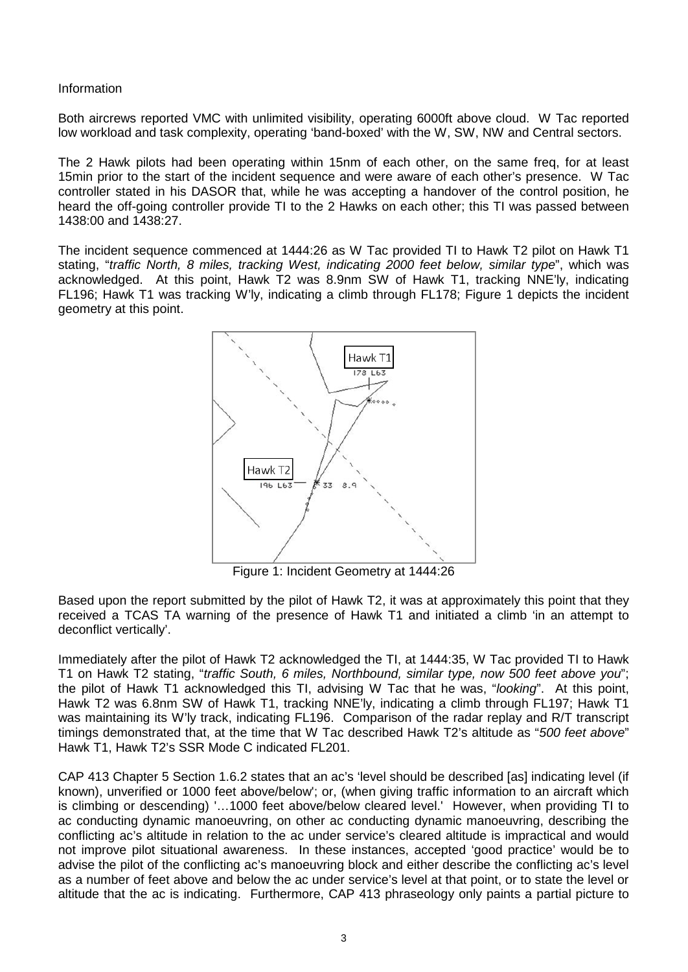#### Information

Both aircrews reported VMC with unlimited visibility, operating 6000ft above cloud. W Tac reported low workload and task complexity, operating 'band-boxed' with the W, SW, NW and Central sectors.

The 2 Hawk pilots had been operating within 15nm of each other, on the same freq, for at least 15min prior to the start of the incident sequence and were aware of each other's presence. W Tac controller stated in his DASOR that, while he was accepting a handover of the control position, he heard the off-going controller provide TI to the 2 Hawks on each other; this TI was passed between 1438:00 and 1438:27.

The incident sequence commenced at 1444:26 as W Tac provided TI to Hawk T2 pilot on Hawk T1 stating, "*traffic North, 8 miles, tracking West, indicating 2000 feet below, similar type*", which was acknowledged. At this point, Hawk T2 was 8.9nm SW of Hawk T1, tracking NNE'ly, indicating FL196; Hawk T1 was tracking W'ly, indicating a climb through FL178; Figure 1 depicts the incident geometry at this point.



Figure 1: Incident Geometry at 1444:26

Based upon the report submitted by the pilot of Hawk T2, it was at approximately this point that they received a TCAS TA warning of the presence of Hawk T1 and initiated a climb 'in an attempt to deconflict vertically'.

Immediately after the pilot of Hawk T2 acknowledged the TI, at 1444:35, W Tac provided TI to Hawk T1 on Hawk T2 stating, "*traffic South, 6 miles, Northbound, similar type, now 500 feet above you*"; the pilot of Hawk T1 acknowledged this TI, advising W Tac that he was, "*looking*". At this point, Hawk T2 was 6.8nm SW of Hawk T1, tracking NNE'ly, indicating a climb through FL197; Hawk T1 was maintaining its W'ly track, indicating FL196. Comparison of the radar replay and R/T transcript timings demonstrated that, at the time that W Tac described Hawk T2's altitude as "*500 feet above*" Hawk T1, Hawk T2's SSR Mode C indicated FL201.

CAP 413 Chapter 5 Section 1.6.2 states that an ac's 'level should be described [as] indicating level (if known), unverified or 1000 feet above/below'; or, (when giving traffic information to an aircraft which is climbing or descending) '…1000 feet above/below cleared level.' However, when providing TI to ac conducting dynamic manoeuvring, on other ac conducting dynamic manoeuvring, describing the conflicting ac's altitude in relation to the ac under service's cleared altitude is impractical and would not improve pilot situational awareness. In these instances, accepted 'good practice' would be to advise the pilot of the conflicting ac's manoeuvring block and either describe the conflicting ac's level as a number of feet above and below the ac under service's level at that point, or to state the level or altitude that the ac is indicating. Furthermore, CAP 413 phraseology only paints a partial picture to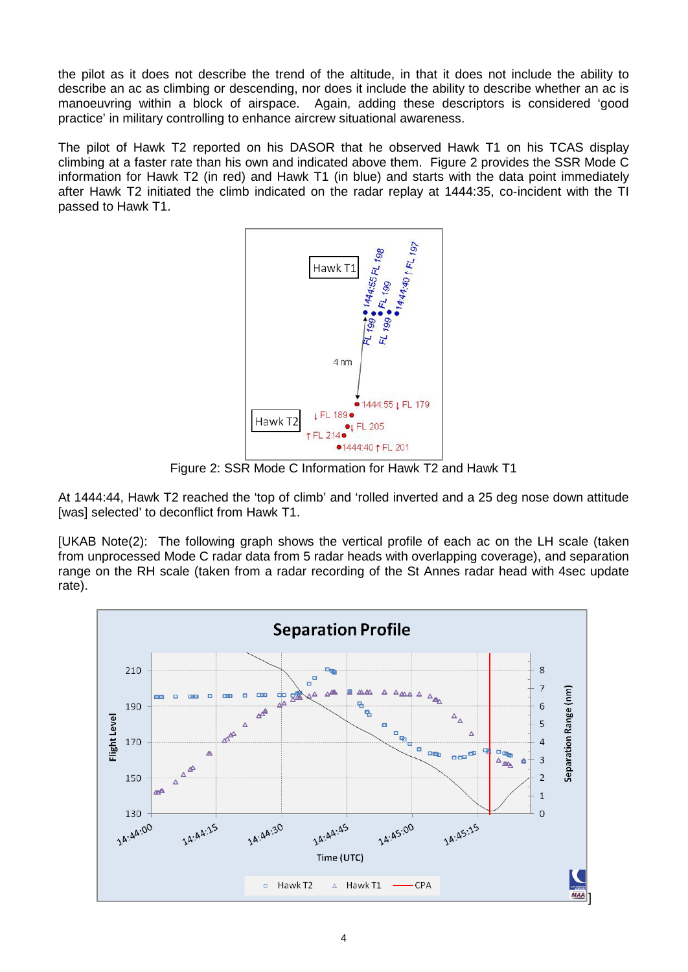the pilot as it does not describe the trend of the altitude, in that it does not include the ability to describe an ac as climbing or descending, nor does it include the ability to describe whether an ac is manoeuvring within a block of airspace. Again, adding these descriptors is considered 'good practice' in military controlling to enhance aircrew situational awareness.

The pilot of Hawk T2 reported on his DASOR that he observed Hawk T1 on his TCAS display climbing at a faster rate than his own and indicated above them. Figure 2 provides the SSR Mode C information for Hawk T2 (in red) and Hawk T1 (in blue) and starts with the data point immediately after Hawk T2 initiated the climb indicated on the radar replay at 1444:35, co-incident with the TI passed to Hawk T1.



Figure 2: SSR Mode C Information for Hawk T2 and Hawk T1

At 1444:44, Hawk T2 reached the 'top of climb' and 'rolled inverted and a 25 deg nose down attitude [was] selected' to deconflict from Hawk T1.

[UKAB Note(2): The following graph shows the vertical profile of each ac on the LH scale (taken from unprocessed Mode C radar data from 5 radar heads with overlapping coverage), and separation range on the RH scale (taken from a radar recording of the St Annes radar head with 4sec update rate).

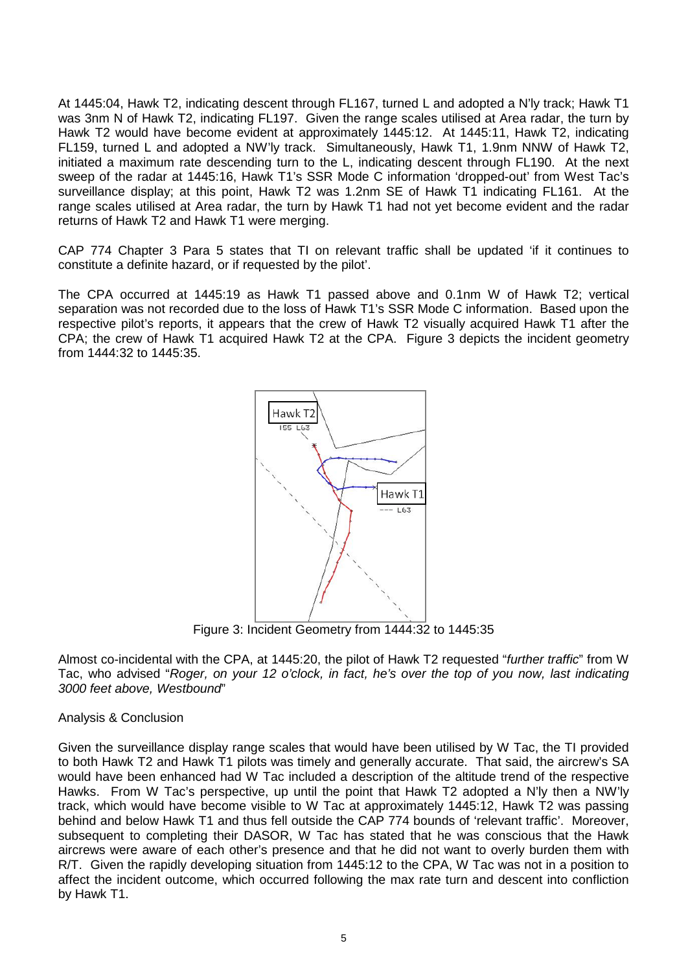At 1445:04, Hawk T2, indicating descent through FL167, turned L and adopted a N'ly track; Hawk T1 was 3nm N of Hawk T2, indicating FL197. Given the range scales utilised at Area radar, the turn by Hawk T2 would have become evident at approximately 1445:12. At 1445:11, Hawk T2, indicating FL159, turned L and adopted a NW'ly track. Simultaneously, Hawk T1, 1.9nm NNW of Hawk T2, initiated a maximum rate descending turn to the L, indicating descent through FL190. At the next sweep of the radar at 1445:16, Hawk T1's SSR Mode C information 'dropped-out' from West Tac's surveillance display; at this point, Hawk T2 was 1.2nm SE of Hawk T1 indicating FL161. At the range scales utilised at Area radar, the turn by Hawk T1 had not yet become evident and the radar returns of Hawk T2 and Hawk T1 were merging.

CAP 774 Chapter 3 Para 5 states that TI on relevant traffic shall be updated 'if it continues to constitute a definite hazard, or if requested by the pilot'.

The CPA occurred at 1445:19 as Hawk T1 passed above and 0.1nm W of Hawk T2; vertical separation was not recorded due to the loss of Hawk T1's SSR Mode C information. Based upon the respective pilot's reports, it appears that the crew of Hawk T2 visually acquired Hawk T1 after the CPA; the crew of Hawk T1 acquired Hawk T2 at the CPA. Figure 3 depicts the incident geometry from 1444:32 to 1445:35.



Figure 3: Incident Geometry from 1444:32 to 1445:35

Almost co-incidental with the CPA, at 1445:20, the pilot of Hawk T2 requested "*further traffic*" from W Tac, who advised "*Roger, on your 12 o'clock, in fact, he's over the top of you now, last indicating 3000 feet above, Westbound*"

### Analysis & Conclusion

Given the surveillance display range scales that would have been utilised by W Tac, the TI provided to both Hawk T2 and Hawk T1 pilots was timely and generally accurate. That said, the aircrew's SA would have been enhanced had W Tac included a description of the altitude trend of the respective Hawks. From W Tac's perspective, up until the point that Hawk T2 adopted a N'ly then a NW'ly track, which would have become visible to W Tac at approximately 1445:12, Hawk T2 was passing behind and below Hawk T1 and thus fell outside the CAP 774 bounds of 'relevant traffic'. Moreover, subsequent to completing their DASOR, W Tac has stated that he was conscious that the Hawk aircrews were aware of each other's presence and that he did not want to overly burden them with R/T. Given the rapidly developing situation from 1445:12 to the CPA, W Tac was not in a position to affect the incident outcome, which occurred following the max rate turn and descent into confliction by Hawk T1.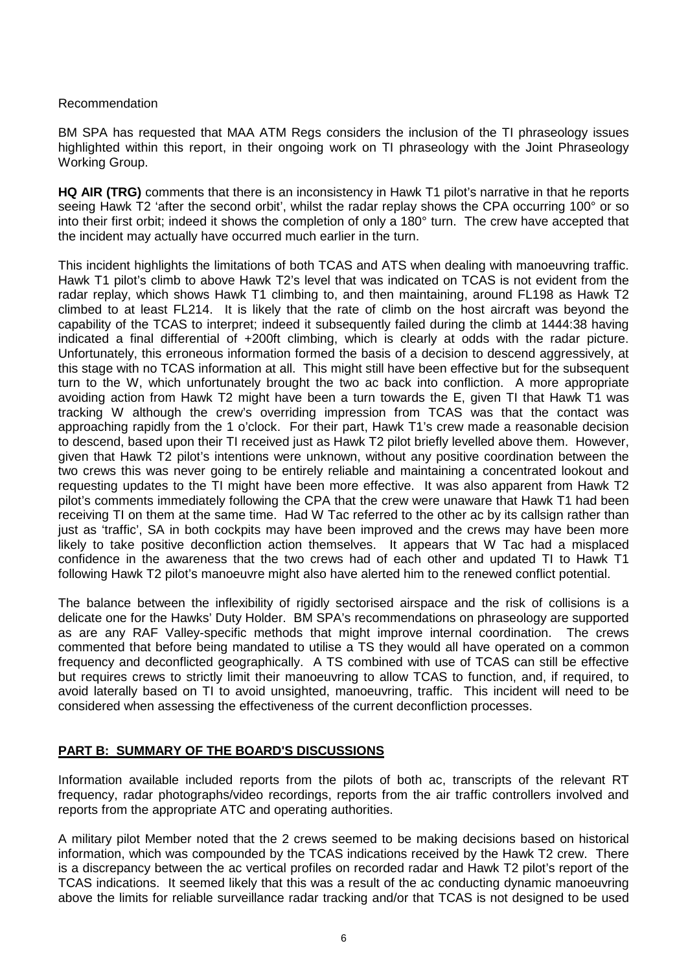# Recommendation

BM SPA has requested that MAA ATM Regs considers the inclusion of the TI phraseology issues highlighted within this report, in their ongoing work on TI phraseology with the Joint Phraseology Working Group.

**HQ AIR (TRG)** comments that there is an inconsistency in Hawk T1 pilot's narrative in that he reports seeing Hawk T2 'after the second orbit', whilst the radar replay shows the CPA occurring 100° or so into their first orbit; indeed it shows the completion of only a 180° turn. The crew have accepted that the incident may actually have occurred much earlier in the turn.

This incident highlights the limitations of both TCAS and ATS when dealing with manoeuvring traffic. Hawk T1 pilot's climb to above Hawk T2's level that was indicated on TCAS is not evident from the radar replay, which shows Hawk T1 climbing to, and then maintaining, around FL198 as Hawk T2 climbed to at least FL214. It is likely that the rate of climb on the host aircraft was beyond the capability of the TCAS to interpret; indeed it subsequently failed during the climb at 1444:38 having indicated a final differential of +200ft climbing, which is clearly at odds with the radar picture. Unfortunately, this erroneous information formed the basis of a decision to descend aggressively, at this stage with no TCAS information at all. This might still have been effective but for the subsequent turn to the W, which unfortunately brought the two ac back into confliction. A more appropriate avoiding action from Hawk T2 might have been a turn towards the E, given TI that Hawk T1 was tracking W although the crew's overriding impression from TCAS was that the contact was approaching rapidly from the 1 o'clock. For their part, Hawk T1's crew made a reasonable decision to descend, based upon their TI received just as Hawk T2 pilot briefly levelled above them. However, given that Hawk T2 pilot's intentions were unknown, without any positive coordination between the two crews this was never going to be entirely reliable and maintaining a concentrated lookout and requesting updates to the TI might have been more effective. It was also apparent from Hawk T2 pilot's comments immediately following the CPA that the crew were unaware that Hawk T1 had been receiving TI on them at the same time. Had W Tac referred to the other ac by its callsign rather than just as 'traffic', SA in both cockpits may have been improved and the crews may have been more likely to take positive deconfliction action themselves. It appears that W Tac had a misplaced confidence in the awareness that the two crews had of each other and updated TI to Hawk T1 following Hawk T2 pilot's manoeuvre might also have alerted him to the renewed conflict potential.

The balance between the inflexibility of rigidly sectorised airspace and the risk of collisions is a delicate one for the Hawks' Duty Holder. BM SPA's recommendations on phraseology are supported as are any RAF Valley-specific methods that might improve internal coordination. The crews commented that before being mandated to utilise a TS they would all have operated on a common frequency and deconflicted geographically. A TS combined with use of TCAS can still be effective but requires crews to strictly limit their manoeuvring to allow TCAS to function, and, if required, to avoid laterally based on TI to avoid unsighted, manoeuvring, traffic. This incident will need to be considered when assessing the effectiveness of the current deconfliction processes.

### **PART B: SUMMARY OF THE BOARD'S DISCUSSIONS**

Information available included reports from the pilots of both ac, transcripts of the relevant RT frequency, radar photographs/video recordings, reports from the air traffic controllers involved and reports from the appropriate ATC and operating authorities.

A military pilot Member noted that the 2 crews seemed to be making decisions based on historical information, which was compounded by the TCAS indications received by the Hawk T2 crew. There is a discrepancy between the ac vertical profiles on recorded radar and Hawk T2 pilot's report of the TCAS indications. It seemed likely that this was a result of the ac conducting dynamic manoeuvring above the limits for reliable surveillance radar tracking and/or that TCAS is not designed to be used